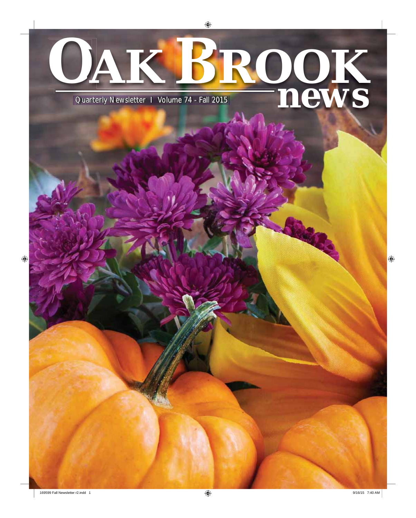# **OAK ROOK B** Quarterly Newsletter I Volume 74 - Fall 2015 **newspape 19th Contains 19th Contains 19th Contains 19th Contains 19th Contains 19th Contains 19th Contains 19th Contains 19th Contains 19th Contains 19th Contains 19th Contains**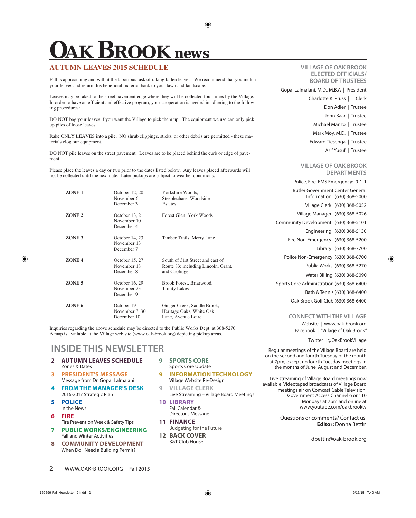# **OAK BROOK** *news*

### **AUTUMN LEAVES 2015 SCHEDULE**

Fall is approaching and with it the laborious task of raking fallen leaves. We recommend that you mulch your leaves and return this beneficial material back to your lawn and landscape.

Leaves may be raked to the street pavement edge where they will be collected four times by the Village. In order to have an efficient and effective program, your cooperation is needed in adhering to the following procedures:

DO NOT bag your leaves if you want the Village to pick them up. The equipment we use can only pick up piles of loose leaves.

Rake ONLY LEAVES into a pile. NO shrub clippings, sticks, or other debris are permitted - these materials clog our equipment.

DO NOT pile leaves on the street pavement. Leaves are to be placed behind the curb or edge of pavement.

Please place the leaves a day or two prior to the dates listed below. Any leaves placed afterwards will not be collected until the next date. Later pickups are subject to weather conditions.

| ZONE <sub>1</sub> | October 12, 20<br>November 6<br>December 3  | Yorkshire Woods,<br>Steeplechase, Woodside<br><b>Estates</b>                            |
|-------------------|---------------------------------------------|-----------------------------------------------------------------------------------------|
| ZONE <sub>2</sub> | October 13, 21<br>November 10<br>December 4 | Forest Glen, York Woods                                                                 |
| ZONE <sub>3</sub> | October 14, 23<br>November 13<br>December 7 | Timber Trails, Merry Lane                                                               |
| ZONE <sub>4</sub> | October 15, 27<br>November 18<br>December 8 | South of 31st Street and east of<br>Route 83; including Lincoln, Grant,<br>and Coolidge |
| ZONE <sub>5</sub> | October 16, 29<br>November 23<br>December 9 | Brook Forest, Briarwood,<br><b>Trinity Lakes</b>                                        |
| ZONE <sub>6</sub> | October 19<br>November 3, 30<br>December 10 | Ginger Creek, Saddle Brook,<br>Heritage Oaks, White Oak<br>Lane, Avenue Loire           |

Inquiries regarding the above schedule may be directed to the Public Works Dept. at 368-5270. A map is available at the Village web site (www.oak-brook.org) depicting pickup areas.

### **INSIDE THIS NEWSLETTER**

- **2 AUTUMN LEAVES SCHEDULE** Zones & Dates
- **3 PRESIDENT'S MESSAGE** Message from Dr. Gopal Lalmalani
- **4 FROM THE MANAGER'S DESK** 2016-2017 Strategic Plan
- **5 POLICE** In the News
- **6 FIRE**

- **7 PUBLIC WORKS/ENGINEERING** Fall and Winter Activities
- **8 COMMUNITY DEVELOPMENT** When Do I Need a Building Permit?
- **9 SPORTS CORE** Sports Core Update
- **9 INFORMATION TECHNOLOGY** Village Website Re-Design
- **9 VILLAGE CLERK** Live Streaming – Village Board Meetings
- **10 LIBRARY** Fall Calendar & Director's Message
- **11 FINANCE**  Budgeting for the Future
- **12 BACK COVER** B&T Club House

#### **VILLAGE OF OAK BROOK ELECTED OFFICIALS/ BOARD OF TRUSTEES**

Gopal Lalmalani, M.D., M.B.A | President

Charlotte K. Pruss | Clerk Don Adler | Trustee

 John Baar | Trustee Michael Manzo | Trustee

- Mark Moy, M.D. | Trustee
- Edward Tiesenga | Trustee
	- Asif Yusuf | Trustee

#### **VILLAGE OF OAK BROOK DEPARTMENTS**

| Police, Fire, EMS Emergency: 9-1-1                              |  |  |  |  |
|-----------------------------------------------------------------|--|--|--|--|
| Butler Government Center General<br>Information: (630) 368-5000 |  |  |  |  |
| Village Clerk: (630) 368-5052                                   |  |  |  |  |
| Village Manager: (630) 368-5026                                 |  |  |  |  |
| Community Development: (630) 368-5101                           |  |  |  |  |
| Engineering: (630) 368-5130                                     |  |  |  |  |
| Fire Non-Emergency: (630) 368-5200                              |  |  |  |  |
| Library: (630) 368-7700                                         |  |  |  |  |
| Police Non-Emergency: (630) 368-8700                            |  |  |  |  |
| Public Works: (630) 368-5270                                    |  |  |  |  |
| Water Billing: (630) 368-5090                                   |  |  |  |  |
| Sports Core Administration (630) 368-6400                       |  |  |  |  |
| Bath & Tennis (630) 368-6400                                    |  |  |  |  |
|                                                                 |  |  |  |  |

### Oak Brook Golf Club (630) 368-6400

#### **CONNECT WITH THE VILLAGE**

Website | www.oak-brook.org Facebook | "Village of Oak Brook"

Twitter | @OakBrookVillage

Regular meetings of the Village Board are held on the second and fourth Tuesday of the month at 7pm, except no fourth Tuesday meetings in the months of June, August and December.

Live streaming of Village Board meetings now available. Videotaped broadcasts of Village Board meetings air on Comcast Cable Television, Government Access Channel 6 or 110 Mondays at 7pm and online at www.youtube.com/oakbrooktv

> Questions or comments? Contact us. **Editor:** Donna Bettin

> > dbettin@oak-brook.org

Fire Prevention Week & Safety Tips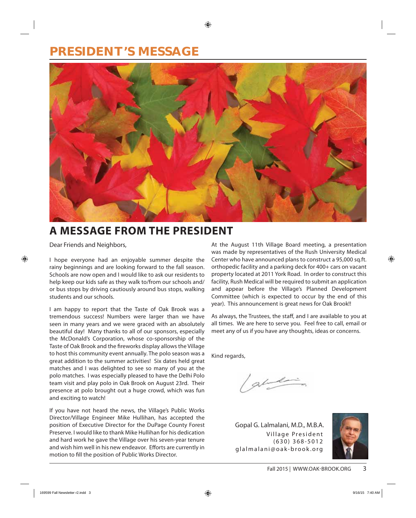### **PRESIDENT'S MESSAGE**



### **A MESSAGE FROM THE PRESIDENT**

Dear Friends and Neighbors,

I hope everyone had an enjoyable summer despite the rainy beginnings and are looking forward to the fall season. Schools are now open and I would like to ask our residents to help keep our kids safe as they walk to/from our schools and/ or bus stops by driving cautiously around bus stops, walking students and our schools.

I am happy to report that the Taste of Oak Brook was a tremendous success! Numbers were larger than we have seen in many years and we were graced with an absolutely beautiful day! Many thanks to all of our sponsors, especially the McDonald's Corporation, whose co-sponsorship of the Taste of Oak Brook and the fireworks display allows the Village to host this community event annually. The polo season was a great addition to the summer activities! Six dates held great matches and I was delighted to see so many of you at the polo matches. I was especially pleased to have the Delhi Polo team visit and play polo in Oak Brook on August 23rd. Their presence at polo brought out a huge crowd, which was fun and exciting to watch!

If you have not heard the news, the Village's Public Works Director/Village Engineer Mike Hullihan, has accepted the position of Executive Director for the DuPage County Forest Preserve. I would like to thank Mike Hullihan for his dedication and hard work he gave the Village over his seven-year tenure and wish him well in his new endeavor. Efforts are currently in motion to fill the position of Public Works Director.

At the August 11th Village Board meeting, a presentation was made by representatives of the Rush University Medical Center who have announced plans to construct a 95,000 sq.ft. orthopedic facility and a parking deck for 400+ cars on vacant property located at 2011 York Road. In order to construct this facility, Rush Medical will be required to submit an application and appear before the Village's Planned Development Committee (which is expected to occur by the end of this year). This announcement is great news for Oak Brook!!

As always, the Trustees, the staff, and I are available to you at all times. We are here to serve you. Feel free to call, email or meet any of us if you have any thoughts, ideas or concerns.

Kind regards,

abiling

Village President (630) 368-5012 glalmalani@oak-brook.org Gopal G. Lalmalani, M.D., M.B.A.

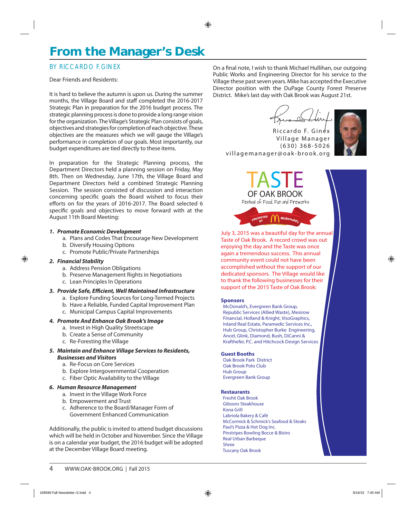### **From the Manager's Desk**

### BY RICCARDO F. GINEX

#### Dear Friends and Residents:

It is hard to believe the autumn is upon us. During the summer months, the Village Board and staff completed the 2016-2017 Strategic Plan in preparation for the 2016 budget process. The strategic planning process is done to provide a long range vision for the organization. The Village's Strategic Plan consists of goals, objectives and strategies for completion of each objective. These objectives are the measures which we will gauge the Village's performance in completion of our goals. Most importantly, our budget expenditures are tied directly to these items.

In preparation for the Strategic Planning process, the Department Directors held a planning session on Friday, May 8th. Then on Wednesday, June 17th, the Village Board and Department Directors held a combined Strategic Planning Session. The session consisted of discussion and interaction concerning specific goals the Board wished to focus their efforts on for the years of 2016-2017. The Board selected 6 specific goals and objectives to move forward with at the August 11th Board Meeting:

#### **1. Promote Economic Development**

- a. Plans and Codes That Encourage New Development
- b. Diversify Housing Options
- c. Promote Public/Private Partnerships

#### **2. Financial Stability**

- a. Address Pension Obligations
- b. Preserve Management Rights in Negotiations
- c. Lean Principles In Operations

#### **3. Provide Safe, Efficient, Well Maintained Infrastructure**

- a. Explore Funding Sources for Long-Termed Projects
- b. Have a Reliable, Funded Capital Improvement Plan
- c. Municipal Campus Capital Improvements

#### **4. Promote And Enhance Oak Brook's Image**

- a. Invest in High Quality Streetscape
- b. Create a Sense of Community
- c. Re-Foresting the Village

#### **5. Maintain and Enhance Village Services to Residents, Businesses and Visitors**

- a. Re-Focus on Core Services
- b. Explore Intergovernmental Cooperation
- c. Fiber Optic Availability to the Village

#### **6. Human Resource Management**

- a. Invest in the Village Work Force
- b. Empowerment and Trust
- c. Adherence to the Board/Manager Form of Government Enhanced Communication

Additionally, the public is invited to attend budget discussions which will be held in October and November. Since the Village is on a calendar year budget, the 2016 budget will be adopted at the December Village Board meeting.

On a final note, I wish to thank Michael Hullihan, our outgoing Public Works and Engineering Director for his service to the Village these past seven years. Mike has accepted the Executive Director position with the DuPage County Forest Preserve District. Mike's last day with Oak Brook was August 21st.

Riccardo F. Ginex Village Manager ( 630 ) 368-5026 villagemanager@oak-brook.org



TASTE OF OAK BROOK Festival of Food, Fun and Fireworks

**PRESENTE<sup>D</sup>**

**PRESENTE<sup>D</sup> PRESENTE<sup>D</sup>**

July 3, 2015 was a beautiful day for the annual Taste of Oak Brook. A record crowd was out enjoying the day and the Taste was once again a tremendous success. This annual community event could not have been accomplished without the support of our dedicated sponsors. The Village would like to thank the following businesses for their support of the 2015 Taste of Oak Brook:

 $\begin{array}{cc} \mathbf{B} & \mathbf{B} \\ \mathbf{B} & \mathbf{B} \end{array}$   $\begin{array}{cc} \mathbf{B} & \mathbf{B} \\ \mathbf{B} & \mathbf{B} \end{array}$ 

#### Sponsors

 McDonald's, Evergreen Bank Group, Republic Services (Allied Waste), Mesirow Financial, Holland & Knight, VisoGraphics, Inland Real Estate, Paramedic Services Inc., Hub Group, Christopher Burke Engineering, Ancel, Glink, Diamond, Bush, DiCanni & Krafthefer, P.C. and Hitchcock Design Services

#### Guest Booths

 Oak Brook Park District Oak Brook Polo Club Hub Group Evergreen Bank Group

#### **Restaurants**

 Freshii Oak Brook Gibsons Steakhouse Kona Grill Labriola Bakery & Café McCormick & Schmick's Seafood & Steaks Paul's Pizza & Hot Dog Inc. Pinstripes Bowling Bocce & Bistro Real Urban Barbeque Shree Tuscany Oak Brook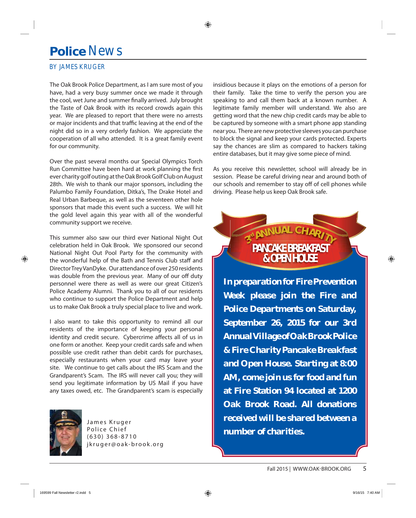### **Police** News

### BY JAMES KRUGER

The Oak Brook Police Department, as I am sure most of you have, had a very busy summer once we made it through the cool, wet June and summer finally arrived. July brought the Taste of Oak Brook with its record crowds again this year. We are pleased to report that there were no arrests or major incidents and that traffic leaving at the end of the night did so in a very orderly fashion. We appreciate the cooperation of all who attended. It is a great family event for our community.

Over the past several months our Special Olympics Torch Run Committee have been hard at work planning the first ever charity golf outing at the Oak Brook Golf Club on August 28th. We wish to thank our major sponsors, including the Palumbo Family Foundation, Ditka's, The Drake Hotel and Real Urban Barbeque, as well as the seventeen other hole sponsors that made this event such a success. We will hit the gold level again this year with all of the wonderful community support we receive.

This summer also saw our third ever National Night Out celebration held in Oak Brook. We sponsored our second National Night Out Pool Party for the community with the wonderful help of the Bath and Tennis Club staff and Director Trey VanDyke. Our attendance of over 250 residents was double from the previous year. Many of our off duty personnel were there as well as were our great Citizen's Police Academy Alumni. Thank you to all of our residents who continue to support the Police Department and help us to make Oak Brook a truly special place to live and work.

I also want to take this opportunity to remind all our residents of the importance of keeping your personal identity and credit secure. Cybercrime affects all of us in one form or another. Keep your credit cards safe and when possible use credit rather than debit cards for purchases, especially restaurants when your card may leave your site. We continue to get calls about the IRS Scam and the Grandparent's Scam. The IRS will never call you; they will send you legitimate information by US Mail if you have any taxes owed, etc. The Grandparent's scam is especially



James Kruger Police Chief ( 630 ) 368-8710 jkruger@oak-brook.org insidious because it plays on the emotions of a person for their family. Take the time to verify the person you are speaking to and call them back at a known number. A legitimate family member will understand. We also are getting word that the new chip credit cards may be able to be captured by someone with a smart phone app standing near you. There are new protective sleeves you can purchase to block the signal and keep your cards protected. Experts say the chances are slim as compared to hackers taking entire databases, but it may give some piece of mind.

As you receive this newsletter, school will already be in session. Please be careful driving near and around both of our schools and remember to stay off of cell phones while driving. Please help us keep Oak Brook safe.



**Week please join the Fire and Police Departments on Saturday, September 26, 2015 for our 3rd Annual Village of Oak Brook Police & Fire Charity Pancake Breakfast and Open House. Starting at 8:00 AM, come join us for food and fun at Fire Station 94 located at 1200 Oak Brook Road. All donations received will be shared between a number of charities.**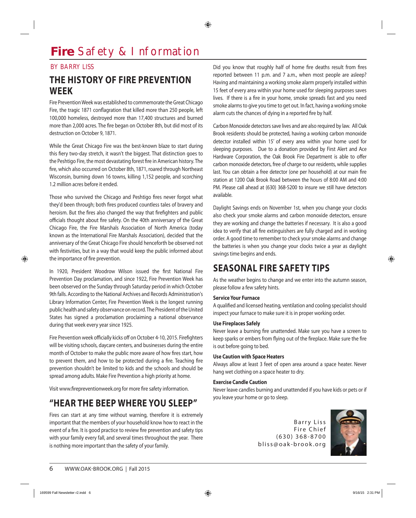### **Fire** Safety & Information

#### BY BARRY LISS

### **THE HISTORY OF FIRE PREVENTION WEEK**

Fire Prevention Week was established to commemorate the Great Chicago Fire, the tragic 1871 conflagration that killed more than 250 people, left 100,000 homeless, destroyed more than 17,400 structures and burned more than 2,000 acres. The fire began on October 8th, but did most of its destruction on October 9, 1871.

While the Great Chicago Fire was the best-known blaze to start during this fiery two-day stretch, it wasn't the biggest. That distinction goes to the Peshtigo Fire, the most devastating forest fire in American history. The fire, which also occurred on October 8th, 1871, roared through Northeast Wisconsin, burning down 16 towns, killing 1,152 people, and scorching 1.2 million acres before it ended.

Those who survived the Chicago and Peshtigo fires never forgot what they'd been through; both fires produced countless tales of bravery and heroism. But the fires also changed the way that firefighters and public officials thought about fire safety. On the 40th anniversary of the Great Chicago Fire, the Fire Marshals Association of North America (today known as the International Fire Marshals Association), decided that the anniversary of the Great Chicago Fire should henceforth be observed not with festivities, but in a way that would keep the public informed about the importance of fire prevention.

In 1920, President Woodrow Wilson issued the first National Fire Prevention Day proclamation, and since 1922, Fire Prevention Week has been observed on the Sunday through Saturday period in which October 9th falls. According to the National Archives and Records Administration's Library Information Center, Fire Prevention Week is the longest running public health and safety observance on record. The President of the United States has signed a proclamation proclaiming a national observance during that week every year since 1925.

Fire Prevention week officially kicks off on October 4-10, 2015. Firefighters will be visiting schools, daycare centers, and businesses during the entire month of October to make the public more aware of how fires start, how to prevent them, and how to be protected during a fire. Teaching fire prevention shouldn't be limited to kids and the schools and should be spread among adults. Make Fire Prevention a high priority at home.

Visit www.firepreventionweek.org for more fire safety information.

### **"HEAR THE BEEP WHERE YOU SLEEP"**

Fires can start at any time without warning, therefore it is extremely important that the members of your household know how to react in the event of a fire. It is good practice to review fire prevention and safety tips with your family every fall, and several times throughout the year. There is nothing more important than the safety of your family.

Did you know that roughly half of home fire deaths result from fires reported between 11 p.m. and 7 a.m., when most people are asleep? Having and maintaining a working smoke alarm properly installed within 15 feet of every area within your home used for sleeping purposes saves lives. If there is a fire in your home, smoke spreads fast and you need smoke alarms to give you time to get out. In fact, having a working smoke alarm cuts the chances of dying in a reported fire by half.

Carbon Monoxide detectors save lives and are also required by law. All Oak Brook residents should be protected, having a working carbon monoxide detector installed within 15' of every area within your home used for sleeping purposes. Due to a donation provided by First Alert and Ace Hardware Corporation, the Oak Brook Fire Department is able to offer carbon monoxide detectors, free of charge to our residents, while supplies last. You can obtain a free detector (one per household) at our main fire station at 1200 Oak Brook Road between the hours of 8:00 AM and 4:00 PM. Please call ahead at (630) 368-5200 to insure we still have detectors available.

Daylight Savings ends on November 1st, when you change your clocks also check your smoke alarms and carbon monoxide detectors, ensure they are working and change the batteries if necessary. It is also a good idea to verify that all fire extinguishers are fully charged and in working order. A good time to remember to check your smoke alarms and change the batteries is when you change your clocks twice a year as daylight savings time begins and ends.

### **SEASONAL FIRE SAFETY TIPS**

As the weather begins to change and we enter into the autumn season, please follow a few safety hints.

#### **Service Your Furnace**

A qualified and licensed heating, ventilation and cooling specialist should inspect your furnace to make sure it is in proper working order.

#### **Use Fireplaces Safely**

Never leave a burning fire unattended. Make sure you have a screen to keep sparks or embers from flying out of the fireplace. Make sure the fire is out before going to bed.

#### **Use Caution with Space Heaters**

Always allow at least 3 feet of open area around a space heater. Never hang wet clothing on a space heater to dry.

#### **Exercise Candle Caution**

Never leave candles burning and unattended if you have kids or pets or if you leave your home or go to sleep.

> Barry Liss Fire Chief  $(630)$  368-8700 bliss@oak-brook.org

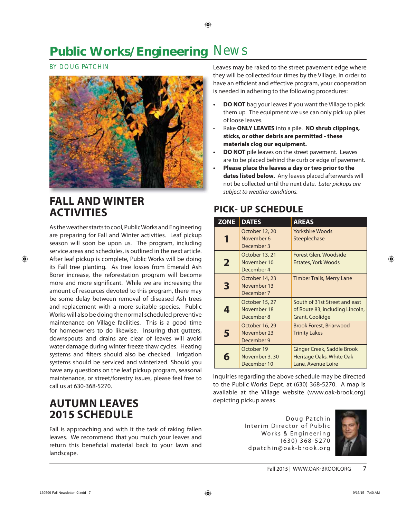### **Public Works/Engineering News**

### BY DOUG PATCHIN



### **FALL AND WINTER ACTIVITIES**

As the weather starts to cool, Public Works and Engineering are preparing for Fall and Winter activities. Leaf pickup season will soon be upon us. The program, including service areas and schedules, is outlined in the next article. After leaf pickup is complete, Public Works will be doing its Fall tree planting. As tree losses from Emerald Ash Borer increase, the reforestation program will become more and more significant. While we are increasing the amount of resources devoted to this program, there may be some delay between removal of diseased Ash trees and replacement with a more suitable species. Public Works will also be doing the normal scheduled preventive maintenance on Village facilities. This is a good time for homeowners to do likewise. Insuring that gutters, downspouts and drains are clear of leaves will avoid water damage during winter freeze thaw cycles. Heating systems and filters should also be checked. Irrigation systems should be serviced and winterized. Should you have any questions on the leaf pickup program, seasonal maintenance, or street/forestry issues, please feel free to call us at 630-368-5270.

### **AUTUMN LEAVES 2015 SCHEDULE**

Fall is approaching and with it the task of raking fallen leaves. We recommend that you mulch your leaves and return this beneficial material back to your lawn and landscape.

Leaves may be raked to the street pavement edge where they will be collected four times by the Village. In order to have an efficient and effective program, your cooperation is needed in adhering to the following procedures:

- **DO NOT** bag your leaves if you want the Village to pick them up. The equipment we use can only pick up piles of loose leaves.
- Rake **ONLY LEAVES** into a pile. **NO shrub clippings, sticks, or other debris are permitted - these materials clog our equipment.**
- **DO NOT** pile leaves on the street pavement. Leaves are to be placed behind the curb or edge of pavement.
- **Please place the leaves a day or two prior to the dates listed below.** Any leaves placed afterwards will not be collected until the next date. Later pickups are subject to weather conditions.

### **PICK- UP SCHEDULE**

| <b>ZONE</b> | <b>DATES</b>                                | <b>AREAS</b>                                                                        |
|-------------|---------------------------------------------|-------------------------------------------------------------------------------------|
| Ί           | October 12, 20<br>November 6<br>December 3  | <b>Yorkshire Woods</b><br>Steeplechase                                              |
| $\mathbf 2$ | October 13, 21<br>November 10<br>December 4 | Forest Glen, Woodside<br><b>Estates, York Woods</b>                                 |
| 3           | October 14, 23<br>November 13<br>December 7 | Timber Trails, Merry Lane                                                           |
| 4           | October 15, 27<br>November 18<br>December 8 | South of 31st Street and east<br>of Route 83; including Lincoln,<br>Grant, Coolidge |
| 5           | October 16, 29<br>November 23<br>December 9 | <b>Brook Forest, Briarwood</b><br><b>Trinity Lakes</b>                              |
| 6           | October 19<br>November 3, 30<br>December 10 | Ginger Creek, Saddle Brook<br>Heritage Oaks, White Oak<br>Lane, Avenue Loire        |

Inquiries regarding the above schedule may be directed to the Public Works Dept. at (630) 368-5270. A map is available at the Village website (www.oak-brook.org) depicting pickup areas.

> Doug Patchin Interim Director of Public Works & Engineering ( 630 ) 368-5270 dpatchin@oak-brook.org

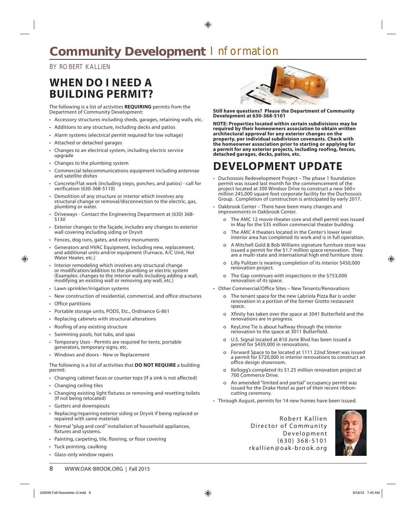### **Community Development | nformation**

### BY ROBERT KALLIEN

### **WHEN DO I NEED A BUILDING PERMIT?**

The following is a list of activities **REQUIRING** permits from the Department of Community Development:

- Accessory structures including sheds, garages, retaining walls, etc.
- Additions to any structure, including decks and patios
- Alarm systems (electrical permit required for low voltage)
- Attached or detached garages
- Changes to an electrical system, including electric service upgrade
- Changes to the plumbing system
- Commercial telecommunications equipment including antennae and satellite dishes
- Concrete/Flat work (including steps, porches, and patios) call for verification (630-368-5110)
- Demolition of any structure or interior which involves any structural change or removal/disconnection to the electric, gas, plumbing or water.
- Driveways Contact the Engineering Department at (630) 368- 5130
- Exterior changes to the façade, includes any changes to exterior wall covering including siding or Dryvit
- Fences, dog runs, gates, and entry monuments
- Generators and HVAC Equipment, including new, replacement, and additional units and/or equipment (Furnace, A/C Unit, Hot Water Heater, etc.)
- Interior remodeling which involves any structural change or modification/addition to the plumbing or electric system (Examples: changes to the interior walls including adding a wall, modifying an existing wall or removing any wall, etc.)
- Lawn sprinkler/irrigation systems
- New construction of residential, commercial, and office structures
- Office partitions
- Portable storage units, PODS, Etc., Ordinance G-861
- Replacing cabinets with structural alterations
- Roofing of any existing structure
- Swimming pools, hot tubs, and spas
- Temporary Uses Permits are required for tents, portable generators, temporary signs, etc.
- Windows and doors New or Replacement

The following is a list of activities that **DO NOT REQUIRE** a building permit:

- Changing cabinet faces or counter tops (If a sink is not affected)
- Changing ceiling tiles
- Changing existing light fixtures or removing and resetting toilets (If not being relocated)
- Gutters and downspouts
- Replacing/repairing exterior siding or Dryvit if being replaced or repaired with same materials
- Normal "plug and cord" installation of household appliances, fixtures and systems.
- Painting, carpeting, tile, flooring, or floor covering
- Tuck pointing, caulking
- Glass-only window repairs



**Still have questions? Please the Department of Community Development at 630-368-5101** 

**NOTE: Properties located within certain subdivisions may be required by their homeowners association to obtain written architectural approval for any exterior changes on the property, per individual subdivision covenants. Check with the homeowner association prior to starting or applying for a permit for any exterior projects, including roofing, fences, detached garages, decks, patios, etc.**

### **DEVELOPMENT UPDATE**

- Duchossois Redevelopment Project The phase 1 foundation permit was issued last month for the commencement of the project located at 300 Windsor Drive to construct a new \$60+ million 245,000 square foot corporate facility for the Duchossois Group. Completion of construction is anticipated by early 2017.
- Oakbrook Center There have been many changes and improvements in Oakbrook Center.
	- o The AMC 12 movie theater core and shell permit was issued in May for the \$35 million commercial theater building.
	- o The AMC 4 theaters located in the Center's lower level interior area has completed its work and is in full operation.
	- o A Mitchell Gold & Bob Williams signature furniture store was issued a permit for the \$1.7 million space renovation. They are a multi-state and international high end furniture store.
	- o Lilly Pulitzer is nearing completion of its interior \$450,000 renovation project.
	- o The Gap continues with inspections in the \$753,000 renovation of its space.
- Other Commercial/Office Sites New Tenants/Renovations
	- o The tenant space for the new Labriola Pizza Bar is under renovation in a portion of the former Grotto restaurant space.
	- o Xfinity has taken over the space at 3041 Butterfield and the renovations are in progress.
	- o KeyLime Tie is about halfway through the interior renovation to the space at 3011 Butterfield.
	- o U.S. Signal located at 810 Jorie Blvd has been issued a permit for \$439,000 in renovations.
	- o Forward Space to be located at 1111 22nd Street was issued a permit for \$720,000 in interior renovations to construct an office design showroom.
	- o Kellogg's completed its \$1.25 million renovation project at 700 Commerce Drive.
	- o An amended "limited and partial" occupancy permit was issued for the Drake Hotel as part of their recent ribboncutting ceremony.
- Through August, permits for 14 new homes have been issued.

Robert K allien Director of Community Development ( 630 ) 368-5101 rkallien@oak-brook.org

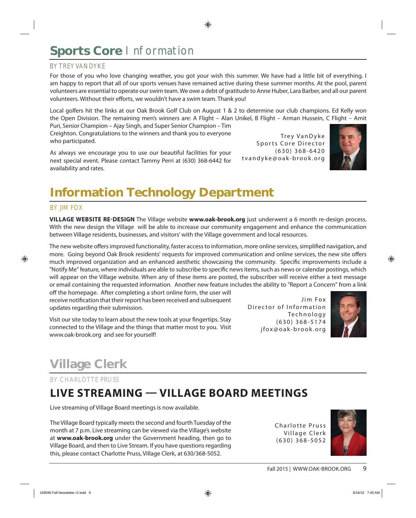### Sports Core Information

### BY TREY VANDYKE

For those of you who love changing weather, you got your wish this summer. We have had a little bit of everything. I am happy to report that all of our sports venues have remained active during these summer months. At the pool, parent volunteers are essential to operate our swim team. We owe a debt of gratitude to Anne Huber, Lara Barber, and all our parent volunteers. Without their efforts, we wouldn't have a swim team. Thank you!

Local golfers hit the links at our Oak Brook Golf Club on August 1 & 2 to determine our club champions. Ed Kelly won the Open Division. The remaining men's winners are: A Flight – Alan Unikel, B Flight – Arman Hussein, C Flight – Amit

Puri, Senior Champion – Ajay Singh, and Super Senior Champion – Tim Creighton. Congratulations to the winners and thank you to everyone who participated.

As always we encourage you to use our beautiful facilities for your next special event. Please contact Tammy Perri at (630) 368-6442 for availability and rates.

Trey VanDyke Sports Core Director ( 630 ) 368-6420 tvandyke@oak-brook.org



### **Information Technology Department**

#### BY JIM FOX

**VILLAGE WEBSITE RE-DESIGN** The Village website **www.oak-brook.org** just underwent a 6 month re-design process. With the new design the Village will be able to increase our community engagement and enhance the communication between Village residents, businesses, and visitors' with the Village government and local resources.

The new website offers improved functionality, faster access to information, more online services, simplified navigation, and more. Going beyond Oak Brook residents' requests for improved communication and online services, the new site offers much improved organization and an enhanced aesthetic showcasing the community. Specific improvements include a "Notify Me" feature, where individuals are able to subscribe to specific news items, such as news or calendar postings, which will appear on the Village website. When any of these items are posted, the subscriber will receive either a text message or email containing the requested information. Another new feature includes the ability to "Report a Concern" from a link

off the homepage. After completing a short online form, the user will receive notification that their report has been received and subsequent updates regarding their submission.

Visit our site today to learn about the new tools at your fingertips. Stay connected to the Village and the things that matter most to you. Visit www.oak-brook.org and see for yourself!

Jim Fox Director of Information Technology ( 630 ) 368-5174 jfox@oak-brook.org



### **Village Clerk**

BY CHARLOTTE PRUSS

### **LIVE STREAMING — VILLAGE BOARD MEETINGS**

Live streaming of Village Board meetings is now available.

The Village Board typically meets the second and fourth Tuesday of the month at 7 p.m. Live streaming can be viewed via the Village's website at **www.oak-brook.org** under the Government heading, then go to Village Board, and then to Live Stream. If you have questions regarding this, please contact Charlotte Pruss, Village Clerk, at 630/368-5052.

Charlotte Pruss Village Clerk ( 630 ) 368-5052

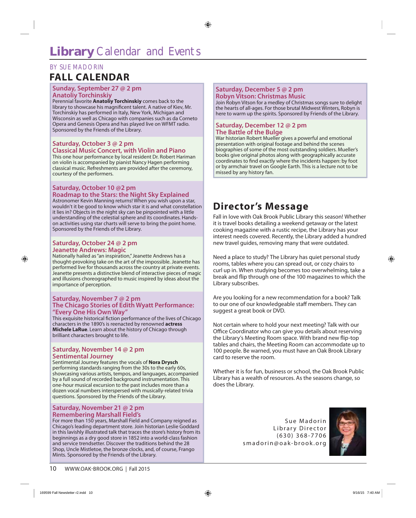### BY SUE MADORIN

### **FALL CALENDAR**

#### **Sunday, September 27 @ 2 pm Anatoliy Torchinskiy**

Perennial favorite **Anatoliy Torchinskiy** comes back to the library to showcase his magnificent talent. A native of Kiev, Mr. Torchinskiy has performed in Italy, New York, Michigan and Wisconsin as well as Chicago with companies such as da Corneto Opera and Genesis Opera and has played live on WFMT radio. Sponsored by the Friends of the Library.

#### **Saturday, October 3 @ 2 pm Classical Music Concert, with Violin and Piano**

This one hour performance by local resident Dr. Robert Hariman on violin is accompanied by pianist Nancy Hagen performing classical music. Refreshments are provided after the ceremony, courtesy of the performers.

#### **Saturday, October 10 @2 pm Roadmap to the Stars: the Night Sky Explained**

Astronomer Kevin Manning returns! When you wish upon a star, wouldn't it be good to know which star it is and what constellation it lies in? Objects in the night sky can be pinpointed with a little understanding of the celestial sphere and its coordinates. Handson activities using star charts will serve to bring the point home. Sponsored by the Friends of the Library.

#### **Saturday, October 24 @ 2 pm Jeanette Andrews: Magic**

Nationally hailed as "an inspiration," Jeanette Andrews has a thought-provoking take on the art of the impossible. Jeanette has performed live for thousands across the country at private events. Jeanette presents a distinctive blend of interactive pieces of magic and illusions choreographed to music inspired by ideas about the importance of perception.

#### **Saturday, November 7 @ 2 pm The Chicago Stories of Edith Wyatt Performance: "Every One His Own Way"**

This exquisite historical fiction performance of the lives of Chicago characters in the 1890's is reenacted by renowned **actress Michele LaRue**. Learn about the history of Chicago through brilliant characters brought to life.

#### **Saturday, November 14 @ 2 pm Sentimental Journey**

Sentimental Journey features the vocals of **Nora Drysch** performing standards ranging from the 30s to the early 60s, showcasing various artists, tempos, and languages, accompanied by a full sound of recorded background instrumentation. This one-hour musical excursion to the past includes more than a dozen vocal numbers interspersed with musically-related trivia questions. Sponsored by the Friends of the Library.

#### **Saturday, November 21 @ 2 pm Remembering Marshall Field's**

For more than 150 years, Marshall Field and Company reigned as Chicago's leading department store. Join historian Leslie Goddard in this lavishly illustrated talk that traces the store's history from its beginnings as a dry good store in 1852 into a world-class fashion and service trendsetter. Discover the traditions behind the 28 Shop, Uncle Mistletoe, the bronze clocks, and, of course, Frango Mints. Sponsored by the Friends of the Library.

#### **Saturday, December 5 @ 2 pm Robyn Vitson: Christmas Music**

Join Robyn Vitson for a medley of Christmas songs sure to delight the hearts of all-ages. For those brutal Midwest Winters, Robyn is here to warm up the spirits. Sponsored by Friends of the Library.

#### **Saturday, December 12 @ 2 pm The Battle of the Bulge**

War historian Robert Mueller gives a powerful and emotional presentation with original footage and behind the scenes biographies of some of the most outstanding soldiers. Mueller's books give original photos along with geographically accurate coordinates to find exactly where the incidents happen: by foot or by armchair travel on Google Earth. This is a lecture not to be missed by any history fan.

### **Director's Message**

Fall in love with Oak Brook Public Library this season! Whether it is travel books detailing a weekend getaway or the latest cooking magazine with a rustic recipe, the Library has your interest needs covered. Recently, the Library added a hundred new travel guides, removing many that were outdated.

Need a place to study? The Library has quiet personal study rooms, tables where you can spread out, or cozy chairs to curl up in. When studying becomes too overwhelming, take a break and flip through one of the 100 magazines to which the Library subscribes.

Are you looking for a new recommendation for a book? Talk to our one of our knowledgeable staff members. They can suggest a great book or DVD.

Not certain where to hold your next meeting? Talk with our Office Coordinator who can give you details about reserving the Library's Meeting Room space. With brand new flip-top tables and chairs, the Meeting Room can accommodate up to 100 people. Be warned, you must have an Oak Brook Library card to reserve the room.

Whether it is for fun, business or school, the Oak Brook Public Library has a wealth of resources. As the seasons change, so does the Library.

> Sue Madorin Library Director ( 630 ) 368-7706 smadorin@oak-brook.org

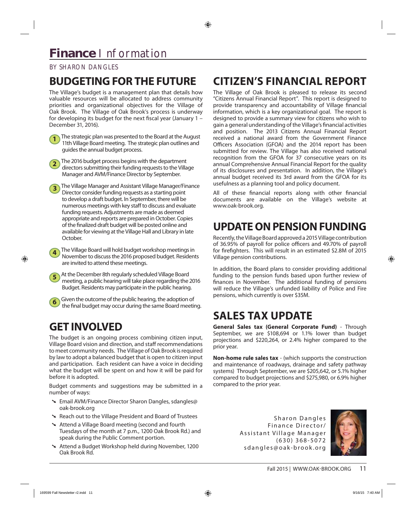### BY SHARON DANGLES

### **BUDGETING FOR THE FUTURE**

The Village's budget is a management plan that details how valuable resources will be allocated to address community priorities and organizational objectives for the Village of Oak Brook. The Village of Oak Brook's process is underway for developing its budget for the next fiscal year (January  $1 -$ December 31, 2016).



**2** The 2016 budget process begins with the department directors submitting their funding requests to the Village Manager and AVM/Finance Director by September.

**3** The Village Manager and Assistant Village Manager/Finance Director consider funding requests as a starting point to develop a draft budget. In September, there will be numerous meetings with key staff to discuss and evaluate funding requests. Adjustments are made as deemed appropriate and reports are prepared in October. Copies of the finalized draft budget will be posted online and available for viewing at the Village Hall and Library in late October.

**4** The Village Board will hold budget workshop meetings in November to discuss the 2016 proposed budget. Residents are invited to attend these meetings.



**6** Given the outcome of the public hearing, the adoption of the final budget may occur during the same Board meeting.

### **GET INVOLVED**

The budget is an ongoing process combining citizen input, Village Board vision and direction, and staff recommendations to meet community needs. The Village of Oak Brook is required by law to adopt a balanced budget that is open to citizen input and participation. Each resident can have a voice in deciding what the budget will be spent on and how it will be paid for before it is adopted.

Budget comments and suggestions may be submitted in a number of ways:

- § Email AVM/Finance Director Sharon Dangles, sdangles@ oak-brook.org
- § Reach out to the Village President and Board of Trustees
- § Attend a Village Board meeting (second and fourth Tuesdays of the month at 7 p.m., 1200 Oak Brook Rd.) and speak during the Public Comment portion.
- § Attend a Budget Workshop held during November, 1200 Oak Brook Rd.

### **CITIZEN'S FINANCIAL REPORT**

The Village of Oak Brook is pleased to release its second "Citizens Annual Financial Report". This report is designed to provide transparency and accountability of Village financial information, which is a key organizational goal. The report is designed to provide a summary view for citizens who wish to gain a general understanding of the Village's financial activities and position. The 2013 Citizens Annual Financial Report received a national award from the Government Finance Officers Association (GFOA) and the 2014 report has been submitted for review. The Village has also received national recognition from the GFOA for 37 consecutive years on its annual Comprehensive Annual Financial Report for the quality of its disclosures and presentation. In addition, the Village's annual budget received its 3rd award from the GFOA for its usefulness as a planning tool and policy document.

All of these financial reports along with other financial documents are available on the Village's website at www.oak-brook.org.

### **UPDATE ON PENSION FUNDING**

Recently, the Village Board approved a 2015 Village contribution of 36.95% of payroll for police officers and 49.70% of payroll for firefighters. This will result in an estimated \$2.8M of 2015 Village pension contributions.

In addition, the Board plans to consider providing additional funding to the pension funds based upon further review of finances in November. The additional funding of pensions will reduce the Village's unfunded liability of Police and Fire pensions, which currently is over \$35M.

### **SALES TAX UPDATE**

**General Sales tax (General Corporate Fund)** - Through September, we are \$108,694 or 1.1% lower than budget projections and \$220,264, or 2.4% higher compared to the prior year.

**Non-home rule sales tax** - (which supports the construction and maintenance of roadways, drainage and safety pathway systems) Through September, we are \$205,642, or 5.1% higher compared to budget projections and \$275,980, or 6.9% higher compared to the prior year.

> Sharon Dangles Finance Director/ Assistant Village Manager ( 630 ) 368-5072 sdangles@oak-brook.org